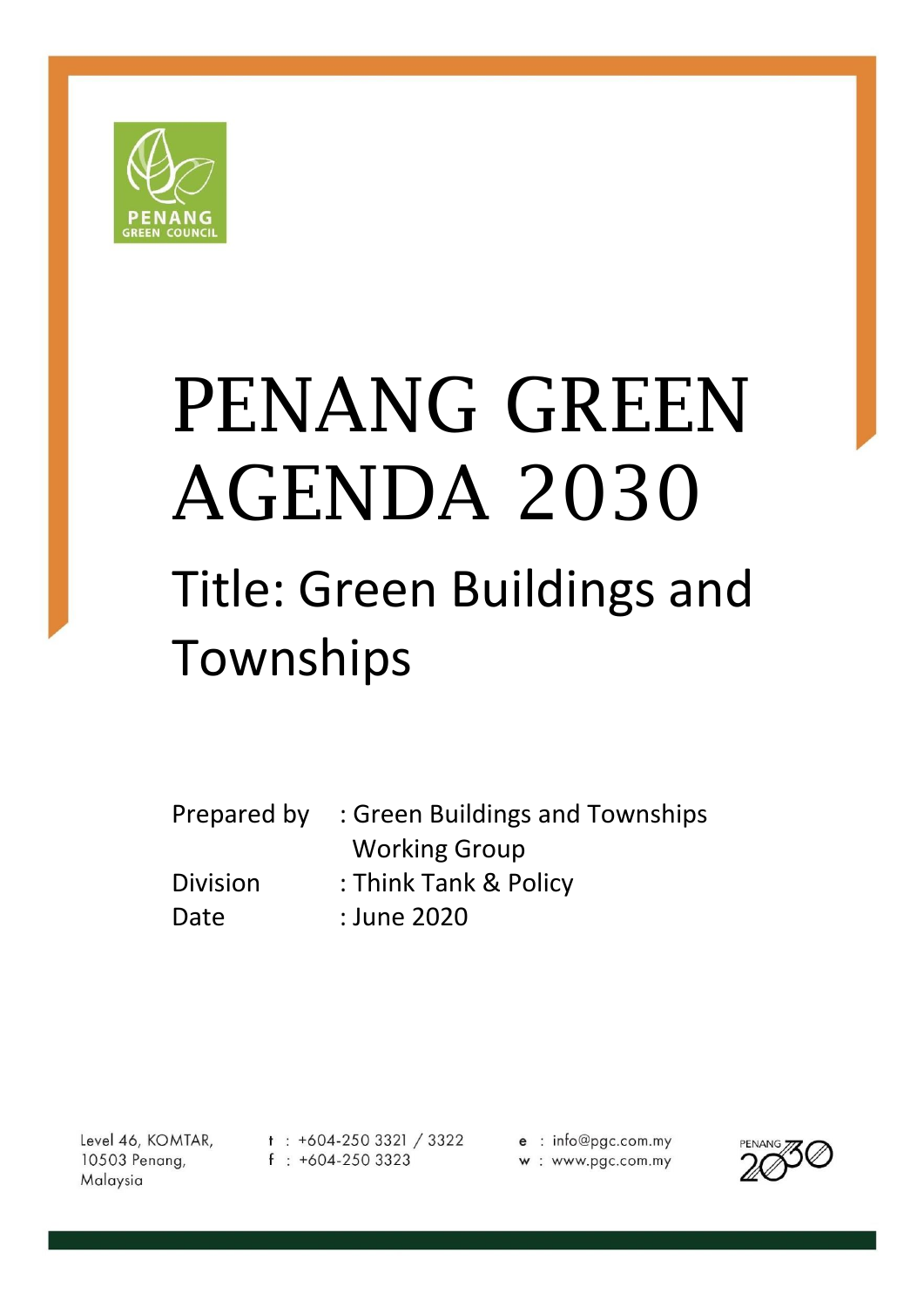

# PENANG GREEN AGENDA 2030

# Title: Green Buildings and Townships

| Prepared by     | : Green Buildings and Townships |
|-----------------|---------------------------------|
|                 | <b>Working Group</b>            |
| <b>Division</b> | : Think Tank & Policy           |
| Date            | : June 2020                     |

Level 46, KOMTAR, 10503 Penang, Malaysia

 $t$  : +604-250 3321 / 3322  $f : +604-2503323$ 

e : info@pgc.com.my w: www.pgc.com.my

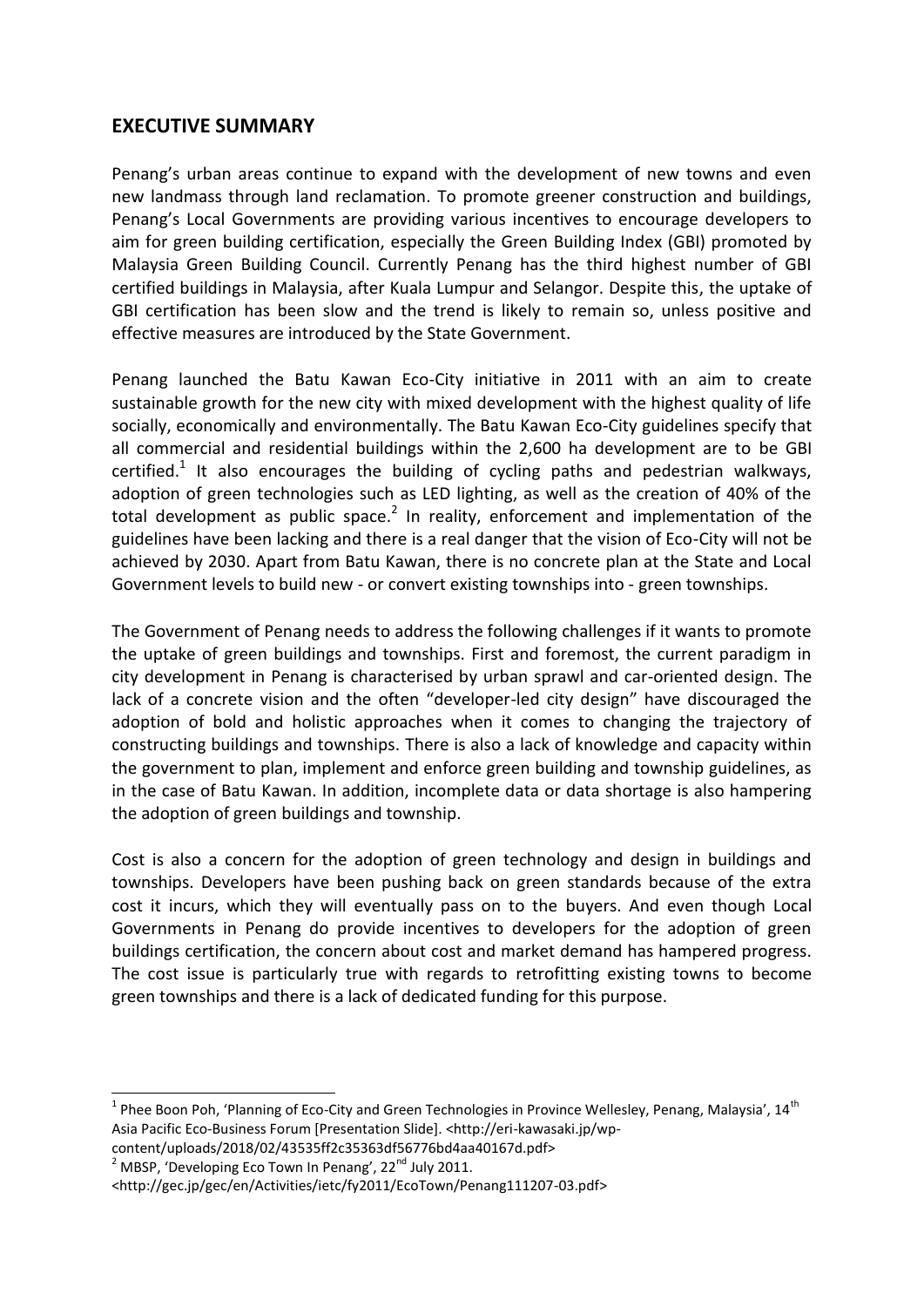# **EXECUTIVE SUMMARY**

Penang's urban areas continue to expand with the development of new towns and even new landmass through land reclamation. To promote greener construction and buildings, Penang's Local Governments are providing various incentives to encourage developers to aim for green building certification, especially the Green Building Index (GBI) promoted by Malaysia Green Building Council. Currently Penang has the third highest number of GBI certified buildings in Malaysia, after Kuala Lumpur and Selangor. Despite this, the uptake of GBI certification has been slow and the trend is likely to remain so, unless positive and effective measures are introduced by the State Government.

Penang launched the Batu Kawan Eco-City initiative in 2011 with an aim to create sustainable growth for the new city with mixed development with the highest quality of life socially, economically and environmentally. The Batu Kawan Eco-City guidelines specify that all commercial and residential buildings within the 2,600 ha development are to be GBI certified.<sup>1</sup> It also encourages the building of cycling paths and pedestrian walkways, adoption of green technologies such as LED lighting, as well as the creation of 40% of the total development as public space. $^2$  In reality, enforcement and implementation of the guidelines have been lacking and there is a real danger that the vision of Eco-City will not be achieved by 2030. Apart from Batu Kawan, there is no concrete plan at the State and Local Government levels to build new - or convert existing townships into - green townships.

The Government of Penang needs to address the following challenges if it wants to promote the uptake of green buildings and townships. First and foremost, the current paradigm in city development in Penang is characterised by urban sprawl and car-oriented design. The lack of a concrete vision and the often "developer-led city design" have discouraged the adoption of bold and holistic approaches when it comes to changing the trajectory of constructing buildings and townships. There is also a lack of knowledge and capacity within the government to plan, implement and enforce green building and township guidelines, as in the case of Batu Kawan. In addition, incomplete data or data shortage is also hampering the adoption of green buildings and township.

Cost is also a concern for the adoption of green technology and design in buildings and townships. Developers have been pushing back on green standards because of the extra cost it incurs, which they will eventually pass on to the buyers. And even though Local Governments in Penang do provide incentives to developers for the adoption of green buildings certification, the concern about cost and market demand has hampered progress. The cost issue is particularly true with regards to retrofitting existing towns to become green townships and there is a lack of dedicated funding for this purpose.

content/uploads/2018/02/43535ff2c35363df56776bd4aa40167d.pdf>  $2^2$  MBSP, 'Developing Eco Town In Penang', 22<sup>nd</sup> July 2011.

**.** 

<sup>&</sup>lt;sup>1</sup> Phee Boon Poh, 'Planning of Eco-City and Green Technologies in Province Wellesley, Penang, Malaysia', 14<sup>th</sup> Asia Pacific Eco-Business Forum [Presentation Slide]. <http://eri-kawasaki.jp/wp-

<sup>&</sup>lt;http://gec.jp/gec/en/Activities/ietc/fy2011/EcoTown/Penang111207-03.pdf>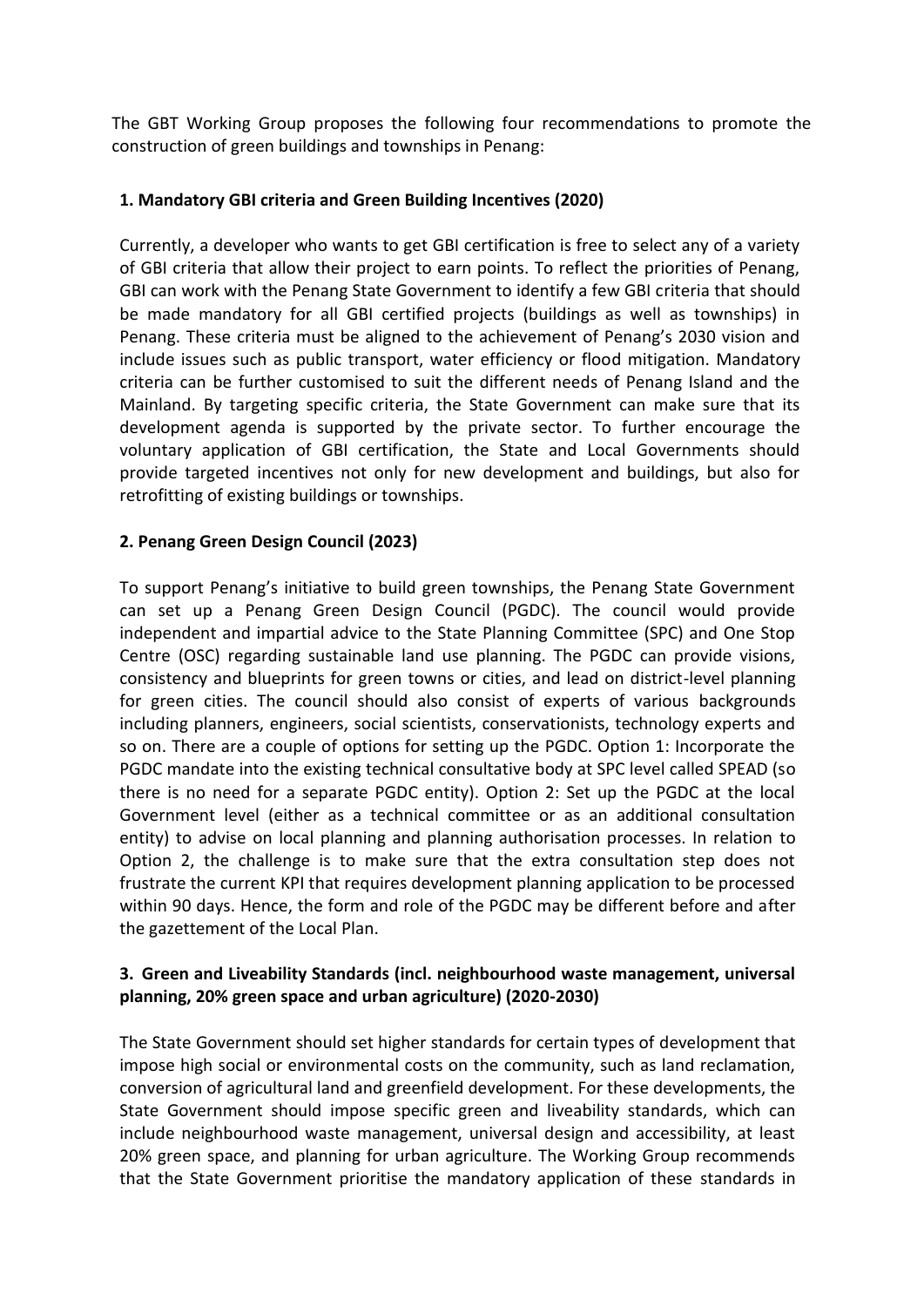The GBT Working Group proposes the following four recommendations to promote the construction of green buildings and townships in Penang:

#### **1. Mandatory GBI criteria and Green Building Incentives (2020)**

Currently, a developer who wants to get GBI certification is free to select any of a variety of GBI criteria that allow their project to earn points. To reflect the priorities of Penang, GBI can work with the Penang State Government to identify a few GBI criteria that should be made mandatory for all GBI certified projects (buildings as well as townships) in Penang. These criteria must be aligned to the achievement of Penang's 2030 vision and include issues such as public transport, water efficiency or flood mitigation. Mandatory criteria can be further customised to suit the different needs of Penang Island and the Mainland. By targeting specific criteria, the State Government can make sure that its development agenda is supported by the private sector. To further encourage the voluntary application of GBI certification, the State and Local Governments should provide targeted incentives not only for new development and buildings, but also for retrofitting of existing buildings or townships.

#### **2. Penang Green Design Council (2023)**

To support Penang's initiative to build green townships, the Penang State Government can set up a Penang Green Design Council (PGDC). The council would provide independent and impartial advice to the State Planning Committee (SPC) and One Stop Centre (OSC) regarding sustainable land use planning. The PGDC can provide visions, consistency and blueprints for green towns or cities, and lead on district-level planning for green cities. The council should also consist of experts of various backgrounds including planners, engineers, social scientists, conservationists, technology experts and so on. There are a couple of options for setting up the PGDC. Option 1: Incorporate the PGDC mandate into the existing technical consultative body at SPC level called SPEAD (so there is no need for a separate PGDC entity). Option 2: Set up the PGDC at the local Government level (either as a technical committee or as an additional consultation entity) to advise on local planning and planning authorisation processes. In relation to Option 2, the challenge is to make sure that the extra consultation step does not frustrate the current KPI that requires development planning application to be processed within 90 days. Hence, the form and role of the PGDC may be different before and after the gazettement of the Local Plan.

#### **3. Green and Liveability Standards (incl. neighbourhood waste management, universal planning, 20% green space and urban agriculture) (2020-2030)**

The State Government should set higher standards for certain types of development that impose high social or environmental costs on the community, such as land reclamation, conversion of agricultural land and greenfield development. For these developments, the State Government should impose specific green and liveability standards, which can include neighbourhood waste management, universal design and accessibility, at least 20% green space, and planning for urban agriculture. The Working Group recommends that the State Government prioritise the mandatory application of these standards in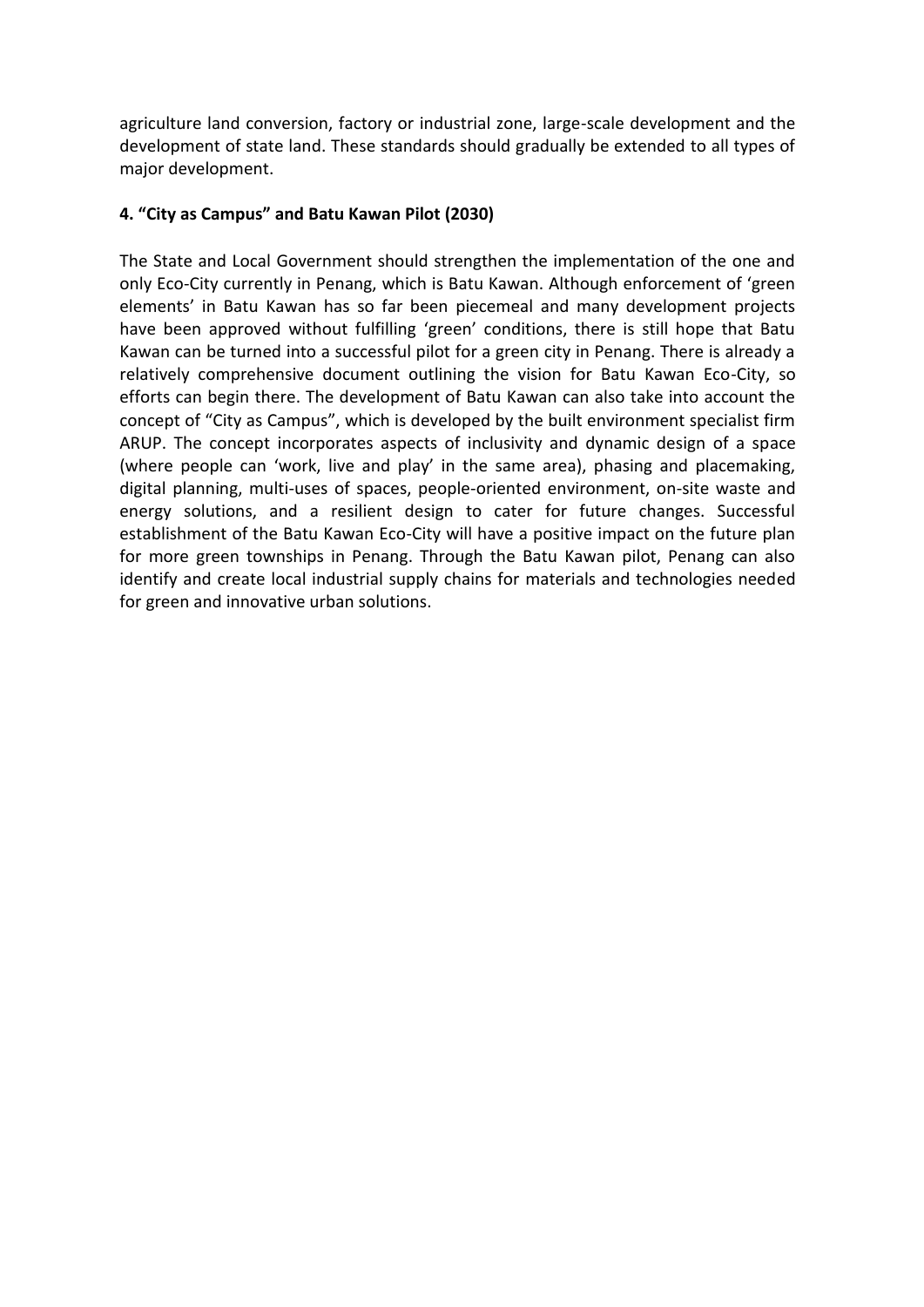agriculture land conversion, factory or industrial zone, large-scale development and the development of state land. These standards should gradually be extended to all types of major development.

#### **4. "City as Campus" and Batu Kawan Pilot (2030)**

The State and Local Government should strengthen the implementation of the one and only Eco-City currently in Penang, which is Batu Kawan. Although enforcement of 'green elements' in Batu Kawan has so far been piecemeal and many development projects have been approved without fulfilling 'green' conditions, there is still hope that Batu Kawan can be turned into a successful pilot for a green city in Penang. There is already a relatively comprehensive document outlining the vision for Batu Kawan Eco-City, so efforts can begin there. The development of Batu Kawan can also take into account the concept of "City as Campus", which is developed by the built environment specialist firm ARUP. The concept incorporates aspects of inclusivity and dynamic design of a space (where people can 'work, live and play' in the same area), phasing and placemaking, digital planning, multi-uses of spaces, people-oriented environment, on-site waste and energy solutions, and a resilient design to cater for future changes. Successful establishment of the Batu Kawan Eco-City will have a positive impact on the future plan for more green townships in Penang. Through the Batu Kawan pilot, Penang can also identify and create local industrial supply chains for materials and technologies needed for green and innovative urban solutions.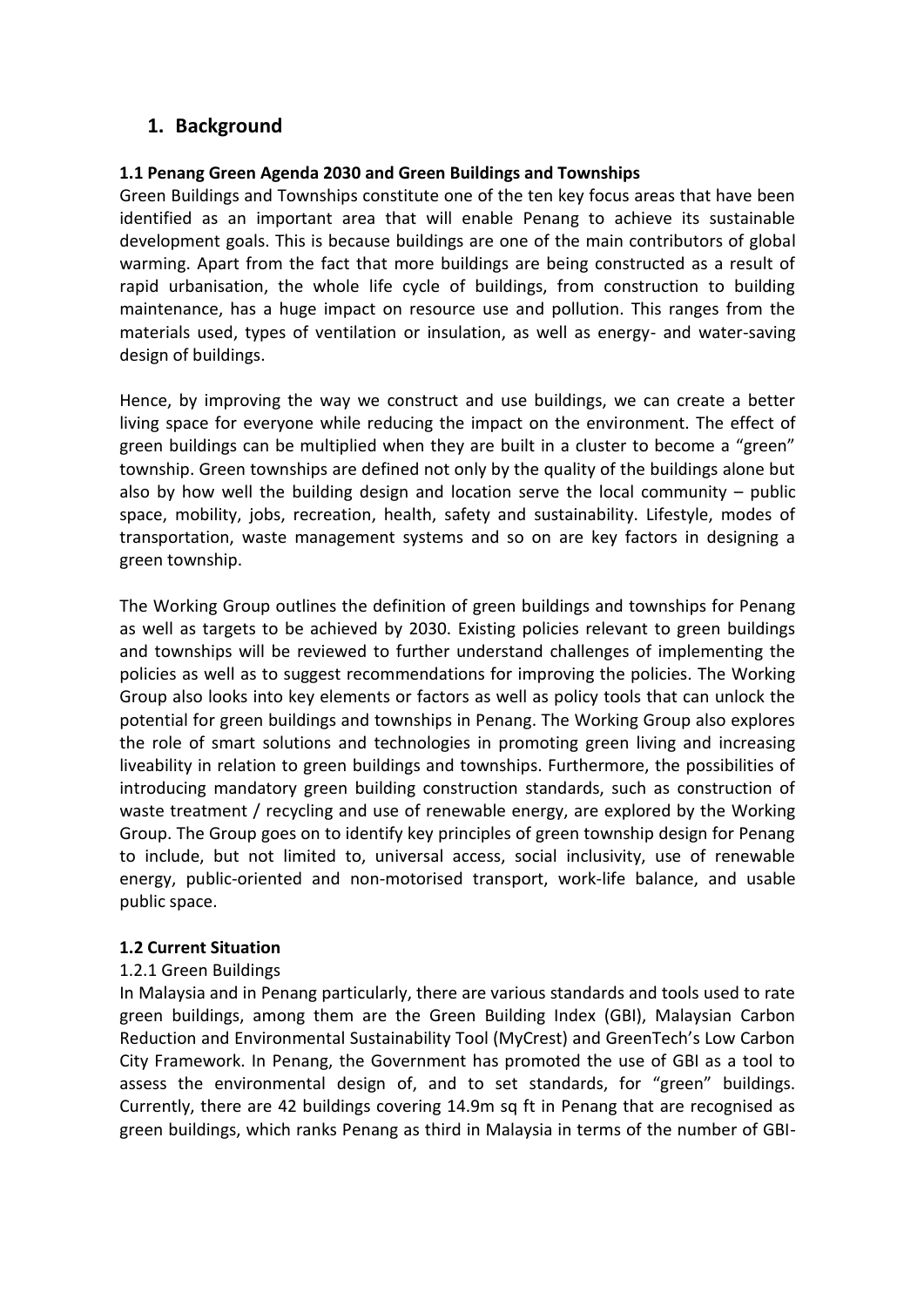# **1. Background**

#### **1.1 Penang Green Agenda 2030 and Green Buildings and Townships**

Green Buildings and Townships constitute one of the ten key focus areas that have been identified as an important area that will enable Penang to achieve its sustainable development goals. This is because buildings are one of the main contributors of global warming. Apart from the fact that more buildings are being constructed as a result of rapid urbanisation, the whole life cycle of buildings, from construction to building maintenance, has a huge impact on resource use and pollution. This ranges from the materials used, types of ventilation or insulation, as well as energy- and water-saving design of buildings.

Hence, by improving the way we construct and use buildings, we can create a better living space for everyone while reducing the impact on the environment. The effect of green buildings can be multiplied when they are built in a cluster to become a "green" township. Green townships are defined not only by the quality of the buildings alone but also by how well the building design and location serve the local community – public space, mobility, jobs, recreation, health, safety and sustainability. Lifestyle, modes of transportation, waste management systems and so on are key factors in designing a green township.

The Working Group outlines the definition of green buildings and townships for Penang as well as targets to be achieved by 2030. Existing policies relevant to green buildings and townships will be reviewed to further understand challenges of implementing the policies as well as to suggest recommendations for improving the policies. The Working Group also looks into key elements or factors as well as policy tools that can unlock the potential for green buildings and townships in Penang. The Working Group also explores the role of smart solutions and technologies in promoting green living and increasing liveability in relation to green buildings and townships. Furthermore, the possibilities of introducing mandatory green building construction standards, such as construction of waste treatment / recycling and use of renewable energy, are explored by the Working Group. The Group goes on to identify key principles of green township design for Penang to include, but not limited to, universal access, social inclusivity, use of renewable energy, public-oriented and non-motorised transport, work-life balance, and usable public space.

#### **1.2 Current Situation**

#### 1.2.1 Green Buildings

In Malaysia and in Penang particularly, there are various standards and tools used to rate green buildings, among them are the Green Building Index (GBI), Malaysian Carbon Reduction and Environmental Sustainability Tool (MyCrest) and GreenTech's Low Carbon City Framework. In Penang, the Government has promoted the use of GBI as a tool to assess the environmental design of, and to set standards, for "green" buildings. Currently, there are 42 buildings covering 14.9m sq ft in Penang that are recognised as green buildings, which ranks Penang as third in Malaysia in terms of the number of GBI-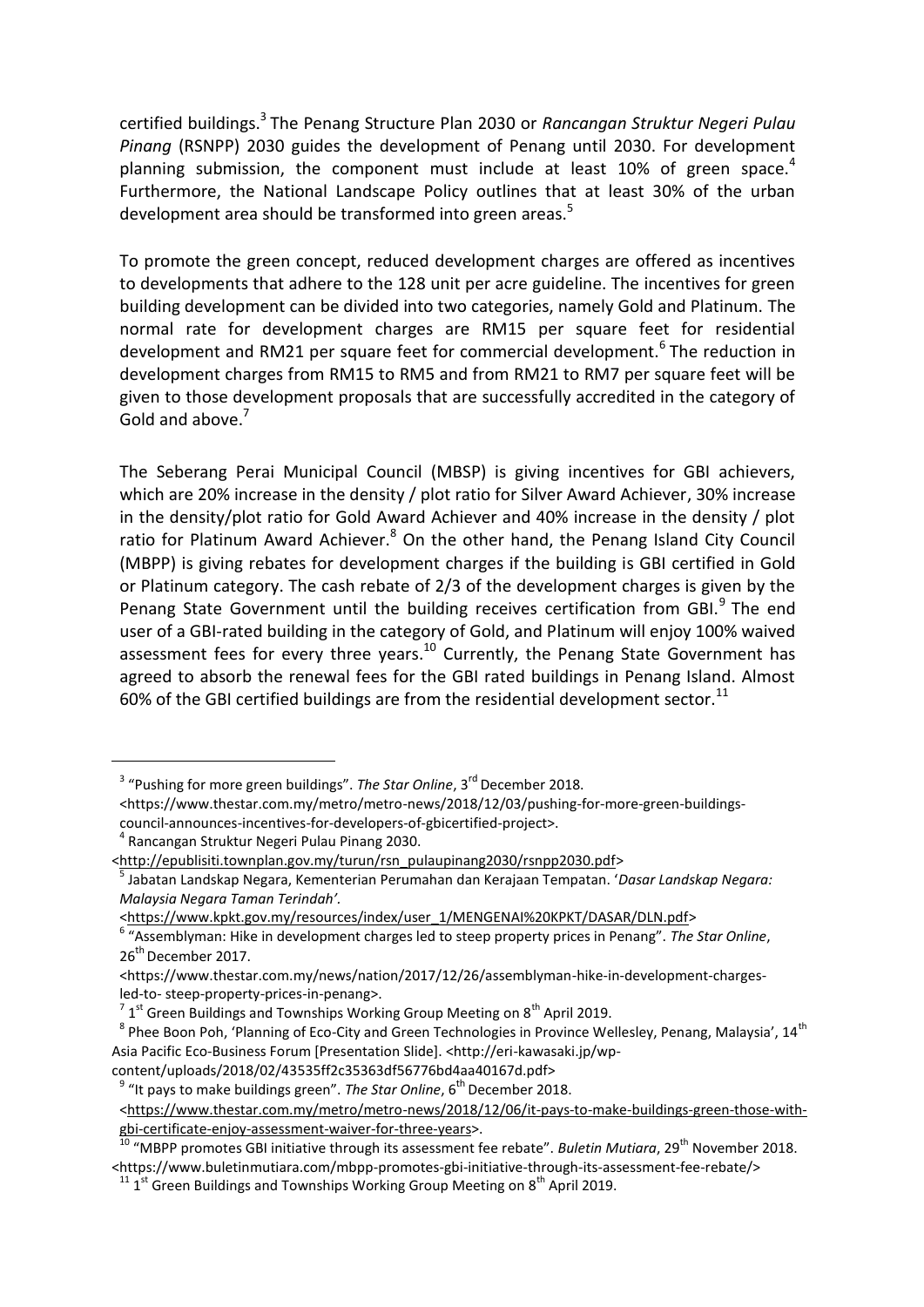certified buildings.<sup>3</sup> The Penang Structure Plan 2030 or *Rancangan Struktur Negeri Pulau Pinang* (RSNPP) 2030 guides the development of Penang until 2030. For development planning submission, the component must include at least 10% of green space.<sup>4</sup> Furthermore, the National Landscape Policy outlines that at least 30% of the urban development area should be transformed into green areas.<sup>5</sup>

To promote the green concept, reduced development charges are offered as incentives to developments that adhere to the 128 unit per acre guideline. The incentives for green building development can be divided into two categories, namely Gold and Platinum. The normal rate for development charges are RM15 per square feet for residential development and RM21 per square feet for commercial development.<sup>6</sup> The reduction in development charges from RM15 to RM5 and from RM21 to RM7 per square feet will be given to those development proposals that are successfully accredited in the category of Gold and above.<sup>7</sup>

The Seberang Perai Municipal Council (MBSP) is giving incentives for GBI achievers, which are 20% increase in the density / plot ratio for Silver Award Achiever, 30% increase in the density/plot ratio for Gold Award Achiever and 40% increase in the density / plot ratio for Platinum Award Achiever.<sup>8</sup> On the other hand, the Penang Island City Council (MBPP) is giving rebates for development charges if the building is GBI certified in Gold or Platinum category. The cash rebate of 2/3 of the development charges is given by the Penang State Government until the building receives certification from GBI.<sup>9</sup> The end user of a GBI-rated building in the category of Gold, and Platinum will enjoy 100% waived assessment fees for every three years. $^{10}$  Currently, the Penang State Government has agreed to absorb the renewal fees for the GBI rated buildings in Penang Island. Almost 60% of the GBI certified buildings are from the residential development sector.<sup>11</sup>

4 Rancangan Struktur Negeri Pulau Pinang 2030.

<u>.</u>

content/uploads/2018/02/43535ff2c35363df56776bd4aa40167d.pdf>

<sup>&</sup>lt;sup>3</sup> "Pushing for more green buildings". *The Star Online*, 3<sup>rd</sup> December 2018.

<sup>&</sup>lt;https://www.thestar.com.my/metro/metro-news/2018/12/03/pushing-for-more-green-buildingscouncil-announces-incentives-for-developers-of-gbicertified-project>.

[<sup>&</sup>lt;http://epublisiti.townplan.gov.my/turun/rsn\\_pulaupinang2030/rsnpp2030.pdf>](http://epublisiti.townplan.gov.my/turun/rsn_pulaupinang2030/rsnpp2030.pdf)

<sup>5</sup> Jabatan Landskap Negara, Kementerian Perumahan dan Kerajaan Tempatan. '*Dasar Landskap Negara: Malaysia Negara Taman Terindah'.*

[<sup>&</sup>lt;https://www.kpkt.gov.my/resources/index/user\\_1/MENGENAI%20KPKT/DASAR/DLN.pdf>](https://www.kpkt.gov.my/resources/index/user_1/MENGENAI%20KPKT/DASAR/DLN.pdf)

<sup>6</sup> "Assemblyman: Hike in development charges led to steep property prices in Penang". *The Star Online*, 26<sup>th</sup> December 2017.

<sup>&</sup>lt;https:/[/www.thestar.com.my/news/nation/2017/12/26/assemblyman-hike-in-development-charges](http://www.thestar.com.my/news/nation/2017/12/26/assemblyman-hike-in-development-charges-led-to-)[led-to-](http://www.thestar.com.my/news/nation/2017/12/26/assemblyman-hike-in-development-charges-led-to-) steep-property-prices-in-penang>.

 $^7$  1<sup>st</sup> Green Buildings and Townships Working Group Meeting on 8<sup>th</sup> April 2019.

 $^8$  Phee Boon Poh, 'Planning of Eco-City and Green Technologies in Province Wellesley, Penang, Malaysia', 14<sup>th</sup> Asia Pacific Eco-Business Forum [Presentation Slide]. <http://eri-kawasaki.jp/wp-

<sup>&</sup>lt;sup>9</sup> "It pays to make buildings green". *The Star Online*, 6<sup>th</sup> December 2018.

[<sup>&</sup>lt;https://www.thestar.com.my/metro/metro-news/2018/12/06/it-pays-to-make-buildings-green-those-with](https://www.thestar.com.my/metro/metro-news/2018/12/06/it-pays-to-make-buildings-green-those-with-gbi-certificate-enjoy-assessment-waiver-for-three-years)[gbi-certificate-enjoy-assessment-waiver-for-three-years>](https://www.thestar.com.my/metro/metro-news/2018/12/06/it-pays-to-make-buildings-green-those-with-gbi-certificate-enjoy-assessment-waiver-for-three-years).

<sup>&</sup>lt;sup>10</sup> "MBPP promotes GBI initiative through its assessment fee rebate". *Buletin Mutiara*, 29<sup>th</sup> November 2018. <https://www.buletinmutiara.com/mbpp-promotes-gbi-initiative-through-its-assessment-fee-rebate/>

 $^{11}$  1<sup>st</sup> Green Buildings and Townships Working Group Meeting on 8<sup>th</sup> April 2019.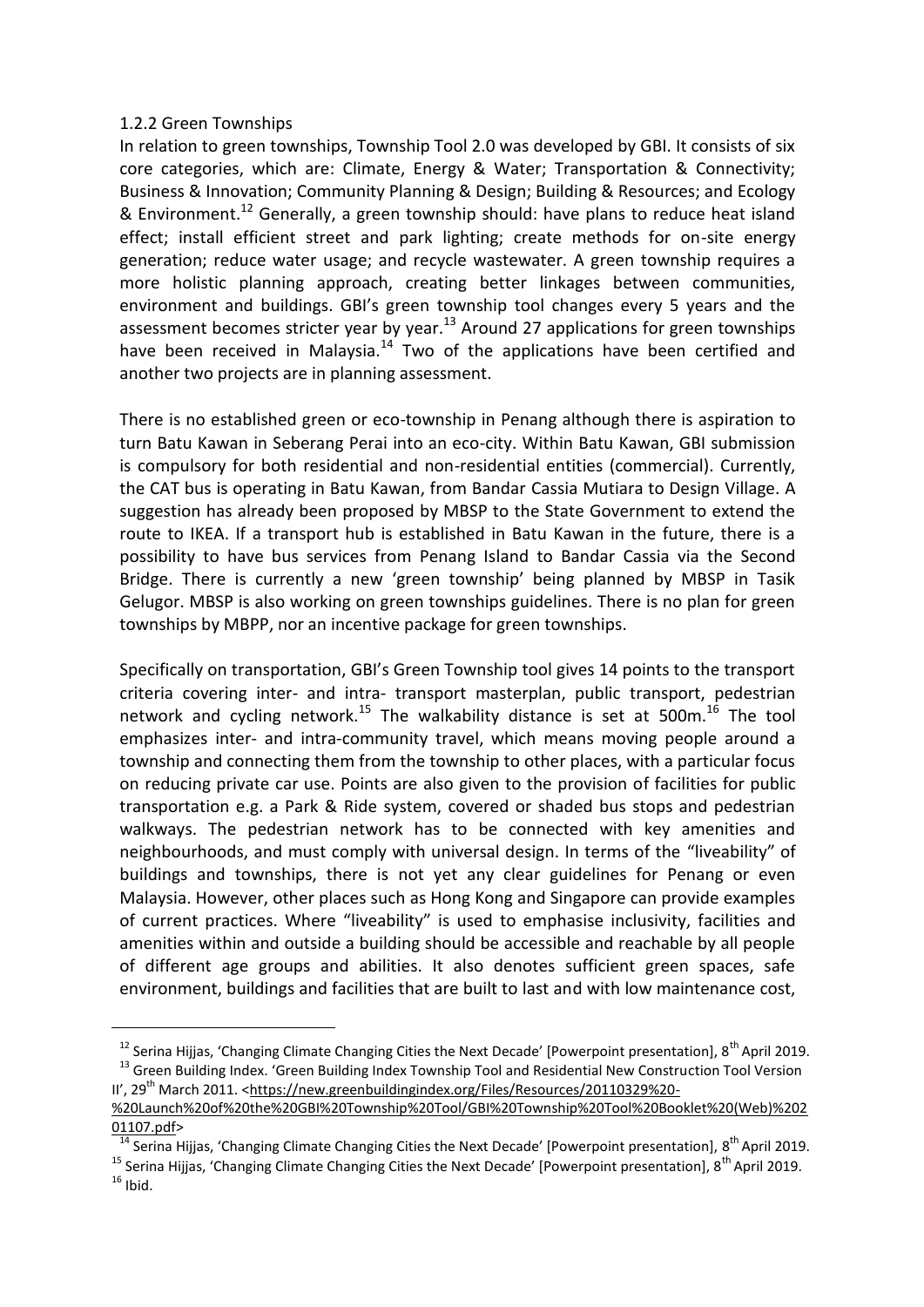#### 1.2.2 Green Townships

1

In relation to green townships, Township Tool 2.0 was developed by GBI. It consists of six core categories, which are: Climate, Energy & Water; Transportation & Connectivity; Business & Innovation; Community Planning & Design; Building & Resources; and Ecology & Environment.<sup>12</sup> Generally, a green township should: have plans to reduce heat island effect; install efficient street and park lighting; create methods for on-site energy generation; reduce water usage; and recycle wastewater. A green township requires a more holistic planning approach, creating better linkages between communities, environment and buildings. GBI's green township tool changes every 5 years and the assessment becomes stricter year by year.<sup>13</sup> Around 27 applications for green townships have been received in Malaysia.<sup>14</sup> Two of the applications have been certified and another two projects are in planning assessment.

There is no established green or eco-township in Penang although there is aspiration to turn Batu Kawan in Seberang Perai into an eco-city. Within Batu Kawan, GBI submission is compulsory for both residential and non-residential entities (commercial). Currently, the CAT bus is operating in Batu Kawan, from Bandar Cassia Mutiara to Design Village. A suggestion has already been proposed by MBSP to the State Government to extend the route to IKEA. If a transport hub is established in Batu Kawan in the future, there is a possibility to have bus services from Penang Island to Bandar Cassia via the Second Bridge. There is currently a new 'green township' being planned by MBSP in Tasik Gelugor. MBSP is also working on green townships guidelines. There is no plan for green townships by MBPP, nor an incentive package for green townships.

Specifically on transportation, GBI's Green Township tool gives 14 points to the transport criteria covering inter- and intra- transport masterplan, public transport, pedestrian network and cycling network.<sup>15</sup> The walkability distance is set at 500m.<sup>16</sup> The tool emphasizes inter- and intra-community travel, which means moving people around a township and connecting them from the township to other places, with a particular focus on reducing private car use. Points are also given to the provision of facilities for public transportation e.g. a Park & Ride system, covered or shaded bus stops and pedestrian walkways. The pedestrian network has to be connected with key amenities and neighbourhoods, and must comply with universal design. In terms of the "liveability" of buildings and townships, there is not yet any clear guidelines for Penang or even Malaysia. However, other places such as Hong Kong and Singapore can provide examples of current practices. Where "liveability" is used to emphasise inclusivity, facilities and amenities within and outside a building should be accessible and reachable by all people of different age groups and abilities. It also denotes sufficient green spaces, safe environment, buildings and facilities that are built to last and with low maintenance cost,

<sup>&</sup>lt;sup>12</sup> Serina Hijjas, 'Changing Climate Changing Cities the Next Decade' [Powerpoint presentation], 8<sup>th</sup> April 2019. <sup>13</sup> Green Building Index. 'Green Building Index Township Tool and Residential New Construction Tool Version

II', 29<sup>th</sup> March 2011. [<https://new.greenbuildingindex.org/Files/Resources/20110329%20-](https://new.greenbuildingindex.org/Files/Resources/20110329%20-%20Launch%20of%20the%20GBI%20Township%20Tool/GBI%20Township%20Tool%20Booklet%20(Web)%20201107.pdf) [%20Launch%20of%20the%20GBI%20Township%20Tool/GBI%20Township%20Tool%20Booklet%20\(Web\)%202](https://new.greenbuildingindex.org/Files/Resources/20110329%20-%20Launch%20of%20the%20GBI%20Township%20Tool/GBI%20Township%20Tool%20Booklet%20(Web)%20201107.pdf) [01107.pdf>](https://new.greenbuildingindex.org/Files/Resources/20110329%20-%20Launch%20of%20the%20GBI%20Township%20Tool/GBI%20Township%20Tool%20Booklet%20(Web)%20201107.pdf)

<sup>&</sup>lt;sup>14</sup> Serina Hijjas, 'Changing Climate Changing Cities the Next Decade' [Powerpoint presentation], 8<sup>th</sup> April 2019.

<sup>&</sup>lt;sup>15</sup> Serina Hijjas, 'Changing Climate Changing Cities the Next Decade' [Powerpoint presentation], 8<sup>th</sup> April 2019.  $16$  Ibid.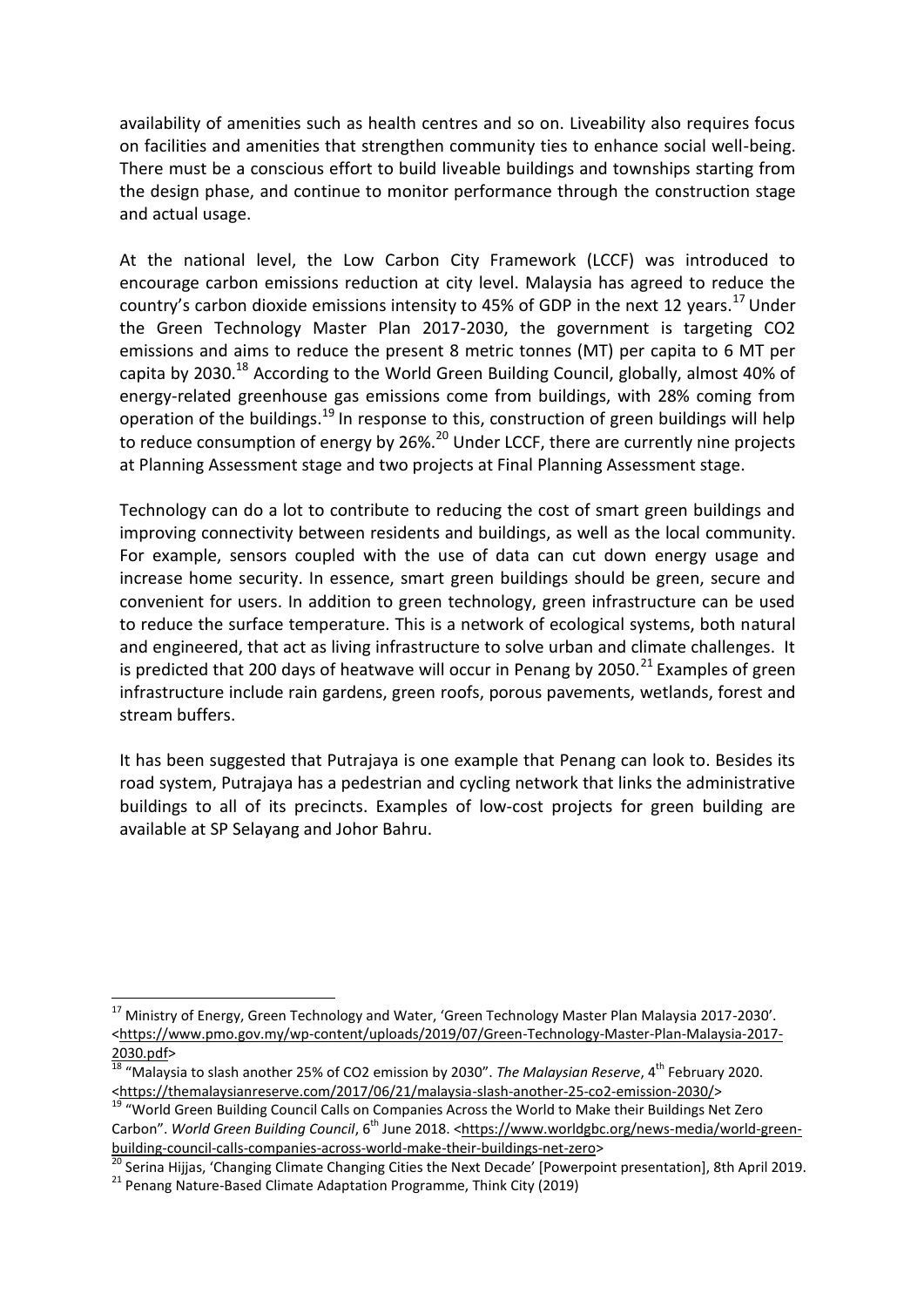availability of amenities such as health centres and so on. Liveability also requires focus on facilities and amenities that strengthen community ties to enhance social well-being. There must be a conscious effort to build liveable buildings and townships starting from the design phase, and continue to monitor performance through the construction stage and actual usage.

At the national level, the Low Carbon City Framework (LCCF) was introduced to encourage carbon emissions reduction at city level. Malaysia has agreed to reduce the country's carbon dioxide emissions intensity to 45% of GDP in the next 12 years.<sup>17</sup> Under the Green Technology Master Plan 2017-2030, the government is targeting CO2 emissions and aims to reduce the present 8 metric tonnes (MT) per capita to 6 MT per capita by 2030.<sup>18</sup> According to the World Green Building Council, globally, almost 40% of energy-related greenhouse gas emissions come from buildings, with 28% coming from operation of the buildings.<sup>19</sup> In response to this, construction of green buildings will help to reduce consumption of energy by 26%.<sup>20</sup> Under LCCF, there are currently nine projects at Planning Assessment stage and two projects at Final Planning Assessment stage.

Technology can do a lot to contribute to reducing the cost of smart green buildings and improving connectivity between residents and buildings, as well as the local community. For example, sensors coupled with the use of data can cut down energy usage and increase home security. In essence, smart green buildings should be green, secure and convenient for users. In addition to green technology, green infrastructure can be used to reduce the surface temperature. This is a network of ecological systems, both natural and engineered, that act as living infrastructure to solve urban and climate challenges. It is predicted that 200 days of heatwave will occur in Penang by 2050.<sup>21</sup> Examples of green infrastructure include rain gardens, green roofs, porous pavements, wetlands, forest and stream buffers.

It has been suggested that Putrajaya is one example that Penang can look to. Besides its road system, Putrajaya has a pedestrian and cycling network that links the administrative buildings to all of its precincts. Examples of low-cost projects for green building are available at SP Selayang and Johor Bahru.

1

<sup>&</sup>lt;sup>17</sup> Ministry of Energy, Green Technology and Water, 'Green Technology Master Plan Malaysia 2017-2030'. [<https://www.pmo.gov.my/wp-content/uploads/2019/07/Green-Technology-Master-Plan-Malaysia-2017-](https://www.pmo.gov.my/wp-content/uploads/2019/07/Green-Technology-Master-Plan-Malaysia-2017-2030.pdf) [2030.pdf>](https://www.pmo.gov.my/wp-content/uploads/2019/07/Green-Technology-Master-Plan-Malaysia-2017-2030.pdf)

<sup>&</sup>lt;sup>18</sup> "Malaysia to slash another 25% of CO2 emission by 2030". *The Malaysian Reserve*, 4<sup>th</sup> February 2020. [<https://themalaysianreserve.com/2017/06/21/malaysia-slash-another-25-co2-emission-2030/>](https://themalaysianreserve.com/2017/06/21/malaysia-slash-another-25-co2-emission-2030/)

<sup>&</sup>lt;sup>19</sup> "World Green Building Council Calls on Companies Across the World to Make their Buildings Net Zero Carbon". World Green Building Council, 6<sup>th</sup> June 2018. [<https://www.worldgbc.org/news-media/world-green](https://www.worldgbc.org/news-media/world-green-building-council-calls-companies-across-world-make-their-buildings-net-zero)[building-council-calls-companies-across-world-make-their-buildings-net-zero>](https://www.worldgbc.org/news-media/world-green-building-council-calls-companies-across-world-make-their-buildings-net-zero)

<sup>&</sup>lt;sup>2</sup> Serina Hijjas, 'Changing Climate Changing Cities the Next Decade' [Powerpoint presentation], 8th April 2019.

<sup>&</sup>lt;sup>21</sup> Penang Nature-Based Climate Adaptation Programme, Think City (2019)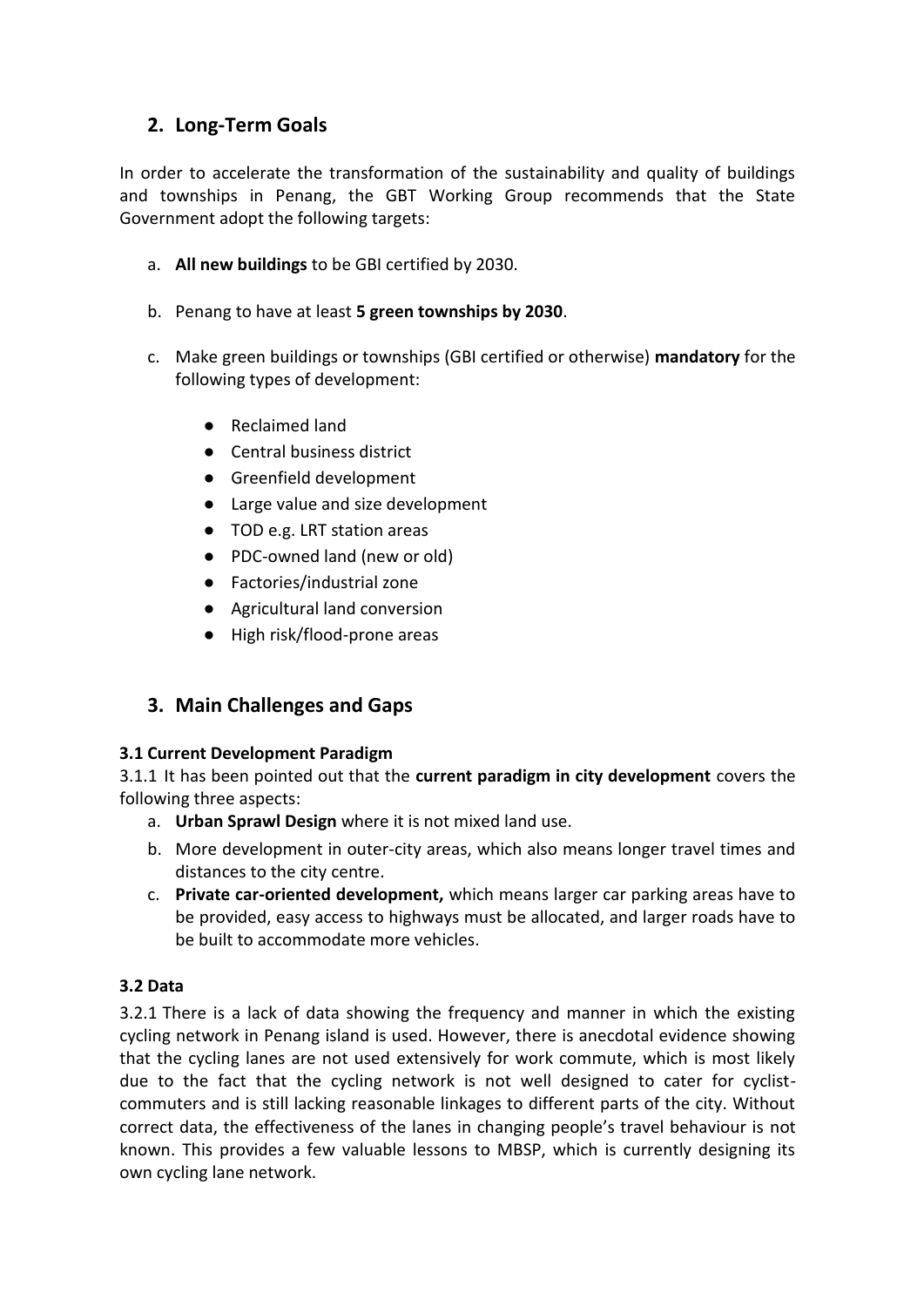# **2. Long-Term Goals**

In order to accelerate the transformation of the sustainability and quality of buildings and townships in Penang, the GBT Working Group recommends that the State Government adopt the following targets:

- a. **All new buildings** to be GBI certified by 2030.
- b. Penang to have at least **5 green townships by 2030**.
- c. Make green buildings or townships (GBI certified or otherwise) **mandatory** for the following types of development:
	- Reclaimed land
	- Central business district
	- Greenfield development
	- Large value and size development
	- TOD e.g. LRT station areas
	- PDC-owned land (new or old)
	- Factories/industrial zone
	- Agricultural land conversion
	- High risk/flood-prone areas

# **3. Main Challenges and Gaps**

#### **3.1 Current Development Paradigm**

3.1.1 It has been pointed out that the **current paradigm in city development** covers the following three aspects:

- a. **Urban Sprawl Design** where it is not mixed land use.
- b. More development in outer-city areas, which also means longer travel times and distances to the city centre.
- c. **Private car-oriented development,** which means larger car parking areas have to be provided, easy access to highways must be allocated, and larger roads have to be built to accommodate more vehicles.

#### **3.2 Data**

3.2.1 There is a lack of data showing the frequency and manner in which the existing cycling network in Penang island is used. However, there is anecdotal evidence showing that the cycling lanes are not used extensively for work commute, which is most likely due to the fact that the cycling network is not well designed to cater for cyclistcommuters and is still lacking reasonable linkages to different parts of the city. Without correct data, the effectiveness of the lanes in changing people's travel behaviour is not known. This provides a few valuable lessons to MBSP, which is currently designing its own cycling lane network.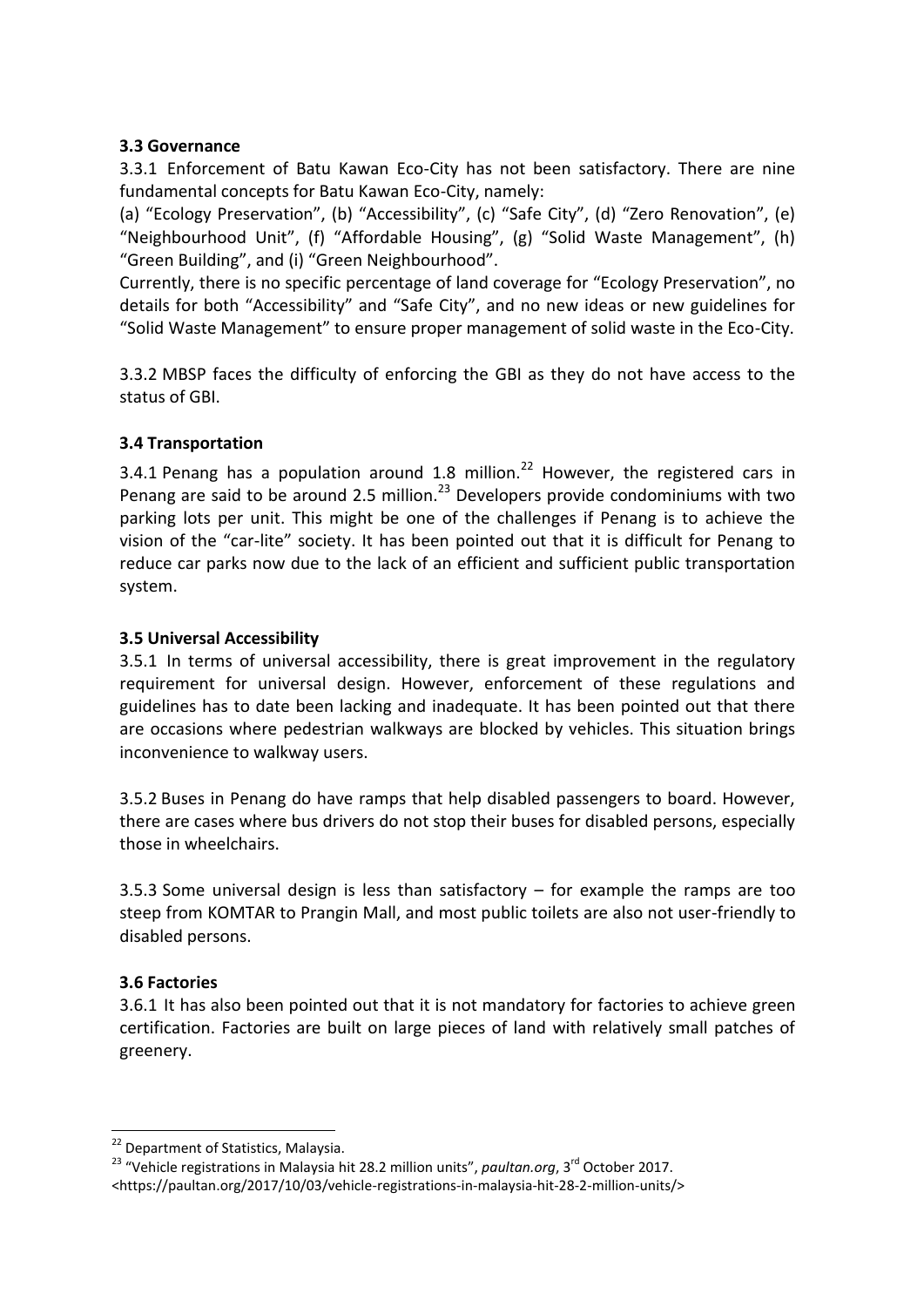#### **3.3 Governance**

3.3.1 Enforcement of Batu Kawan Eco-City has not been satisfactory. There are nine fundamental concepts for Batu Kawan Eco-City, namely:

(a) "Ecology Preservation", (b) "Accessibility", (c) "Safe City", (d) "Zero Renovation", (e) "Neighbourhood Unit", (f) "Affordable Housing", (g) "Solid Waste Management", (h) "Green Building", and (i) "Green Neighbourhood".

Currently, there is no specific percentage of land coverage for "Ecology Preservation", no details for both "Accessibility" and "Safe City", and no new ideas or new guidelines for "Solid Waste Management" to ensure proper management of solid waste in the Eco-City.

3.3.2 MBSP faces the difficulty of enforcing the GBI as they do not have access to the status of GBI.

#### **3.4 Transportation**

3.4.1 Penang has a population around 1.8 million. $^{22}$  However, the registered cars in Penang are said to be around 2.5 million. $^{23}$  Developers provide condominiums with two parking lots per unit. This might be one of the challenges if Penang is to achieve the vision of the "car-lite" society. It has been pointed out that it is difficult for Penang to reduce car parks now due to the lack of an efficient and sufficient public transportation system.

#### **3.5 Universal Accessibility**

3.5.1 In terms of universal accessibility, there is great improvement in the regulatory requirement for universal design. However, enforcement of these regulations and guidelines has to date been lacking and inadequate. It has been pointed out that there are occasions where pedestrian walkways are blocked by vehicles. This situation brings inconvenience to walkway users.

3.5.2 Buses in Penang do have ramps that help disabled passengers to board. However, there are cases where bus drivers do not stop their buses for disabled persons, especially those in wheelchairs.

3.5.3 Some universal design is less than satisfactory  $-$  for example the ramps are too steep from KOMTAR to Prangin Mall, and most public toilets are also not user-friendly to disabled persons.

#### **3.6 Factories**

1

3.6.1 It has also been pointed out that it is not mandatory for factories to achieve green certification. Factories are built on large pieces of land with relatively small patches of greenery.

<sup>&</sup>lt;sup>22</sup> Department of Statistics, Malaysia.

<sup>&</sup>lt;sup>23</sup> "Vehicle registrations in Malaysia hit 28.2 million units", *paultan.org*, 3<sup>rd</sup> October 2017. <https://paultan.org/2017/10/03/vehicle-registrations-in-malaysia-hit-28-2-million-units/>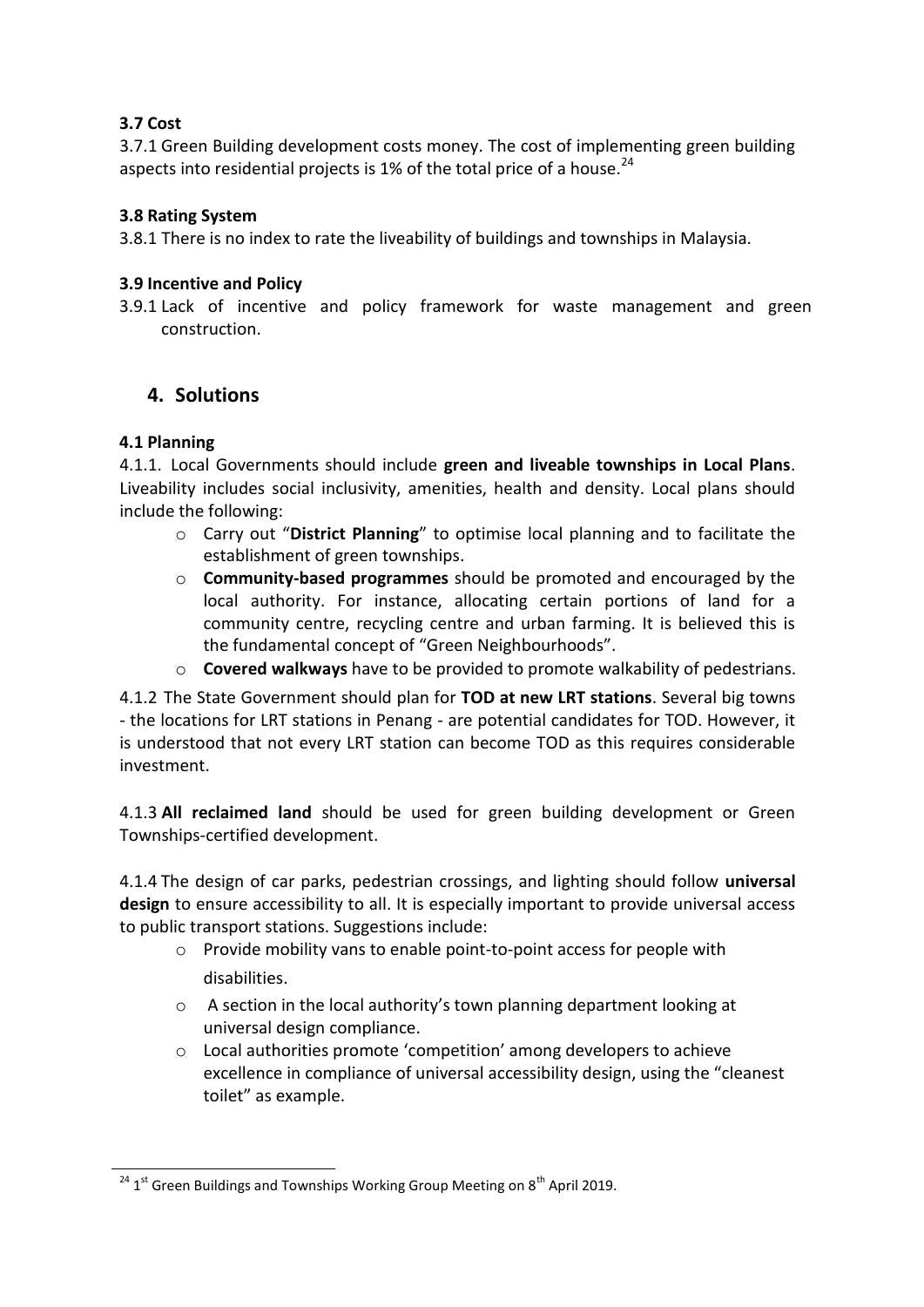# **3.7 Cost**

3.7.1 Green Building development costs money. The cost of implementing green building aspects into residential projects is 1% of the total price of a house. $^{24}$ 

#### **3.8 Rating System**

3.8.1 There is no index to rate the liveability of buildings and townships in Malaysia.

#### **3.9 Incentive and Policy**

3.9.1 Lack of incentive and policy framework for waste management and green construction.

# **4. Solutions**

### **4.1 Planning**

4.1.1. Local Governments should include **green and liveable townships in Local Plans**. Liveability includes social inclusivity, amenities, health and density. Local plans should include the following:

- o Carry out "**District Planning**" to optimise local planning and to facilitate the establishment of green townships.
- o **Community-based programmes** should be promoted and encouraged by the local authority. For instance, allocating certain portions of land for a community centre, recycling centre and urban farming. It is believed this is the fundamental concept of "Green Neighbourhoods".
- o **Covered walkways** have to be provided to promote walkability of pedestrians.

4.1.2 The State Government should plan for **TOD at new LRT stations**. Several big towns - the locations for LRT stations in Penang - are potential candidates for TOD. However, it is understood that not every LRT station can become TOD as this requires considerable investment.

4.1.3 **All reclaimed land** should be used for green building development or Green Townships-certified development.

4.1.4 The design of car parks, pedestrian crossings, and lighting should follow **universal design** to ensure accessibility to all. It is especially important to provide universal access to public transport stations. Suggestions include:

- o Provide mobility vans to enable point-to-point access for people with disabilities.
- o A section in the local authority's town planning department looking at universal design compliance.
- o Local authorities promote 'competition' among developers to achieve excellence in compliance of universal accessibility design, using the "cleanest toilet" as example.

<sup>1</sup>  $^{24}$  1<sup>st</sup> Green Buildings and Townships Working Group Meeting on 8<sup>th</sup> April 2019.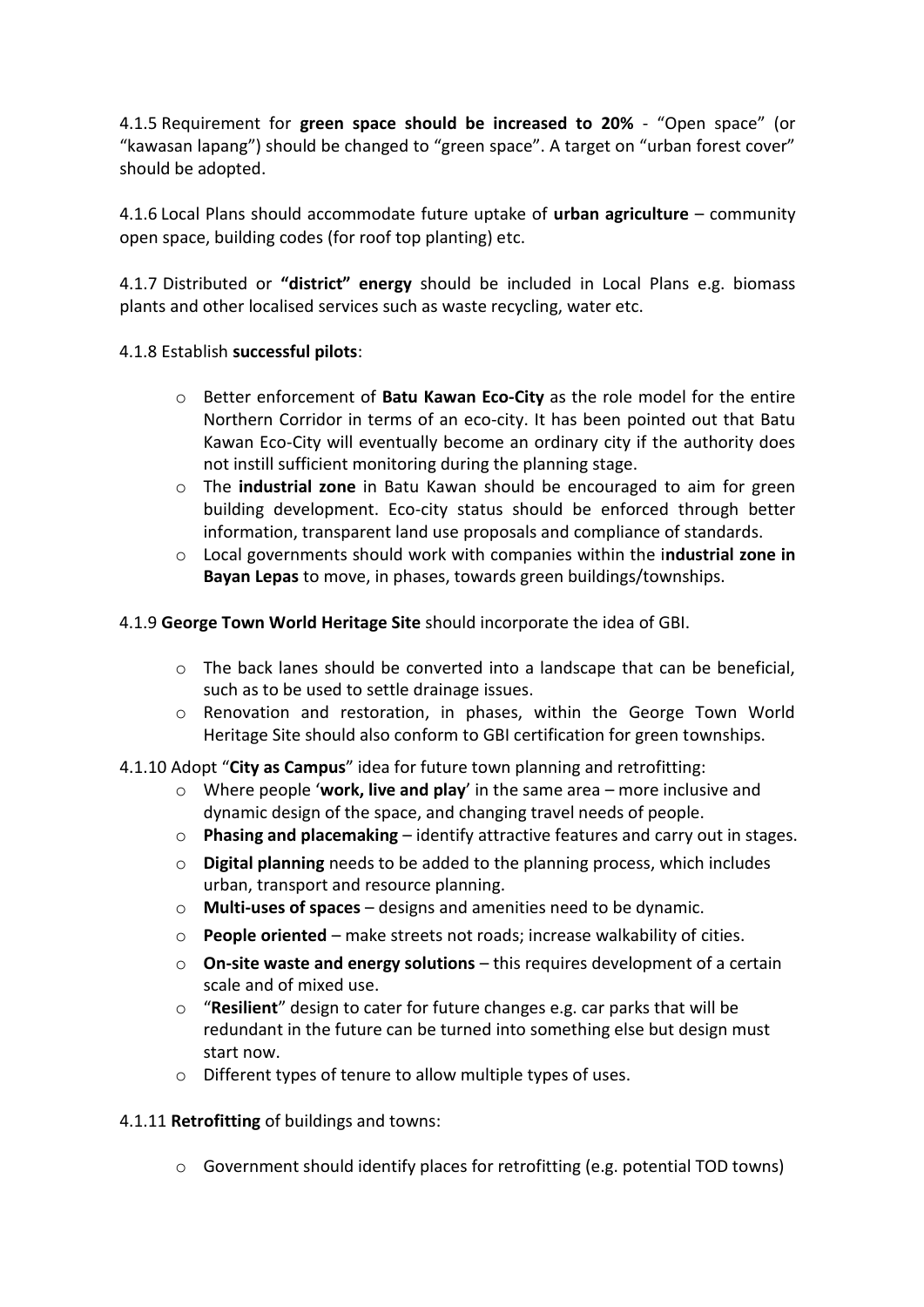4.1.5 Requirement for **green space should be increased to 20%** - "Open space" (or "kawasan lapang") should be changed to "green space". A target on "urban forest cover" should be adopted.

4.1.6 Local Plans should accommodate future uptake of **urban agriculture** – community open space, building codes (for roof top planting) etc.

4.1.7 Distributed or **"district" energy** should be included in Local Plans e.g. biomass plants and other localised services such as waste recycling, water etc.

#### 4.1.8 Establish **successful pilots**:

- o Better enforcement of **Batu Kawan Eco-City** as the role model for the entire Northern Corridor in terms of an eco-city. It has been pointed out that Batu Kawan Eco-City will eventually become an ordinary city if the authority does not instill sufficient monitoring during the planning stage.
- o The **industrial zone** in Batu Kawan should be encouraged to aim for green building development. Eco-city status should be enforced through better information, transparent land use proposals and compliance of standards.
- o Local governments should work with companies within the i**ndustrial zone in Bayan Lepas** to move, in phases, towards green buildings/townships.

#### 4.1.9 **George Town World Heritage Site** should incorporate the idea of GBI.

- $\circ$  The back lanes should be converted into a landscape that can be beneficial, such as to be used to settle drainage issues.
- o Renovation and restoration, in phases, within the George Town World Heritage Site should also conform to GBI certification for green townships.
- 4.1.10 Adopt "**City as Campus**" idea for future town planning and retrofitting:
	- o Where people '**work, live and play**' in the same area more inclusive and dynamic design of the space, and changing travel needs of people.
	- o **Phasing and placemaking**  identify attractive features and carry out in stages.
	- o **Digital planning** needs to be added to the planning process, which includes urban, transport and resource planning.
	- o **Multi-uses of spaces**  designs and amenities need to be dynamic.
	- o **People oriented**  make streets not roads; increase walkability of cities.
	- o **On-site waste and energy solutions**  this requires development of a certain scale and of mixed use.
	- o "**Resilient**" design to cater for future changes e.g. car parks that will be redundant in the future can be turned into something else but design must start now.
	- o Different types of tenure to allow multiple types of uses.

#### 4.1.11 **Retrofitting** of buildings and towns:

 $\circ$  Government should identify places for retrofitting (e.g. potential TOD towns)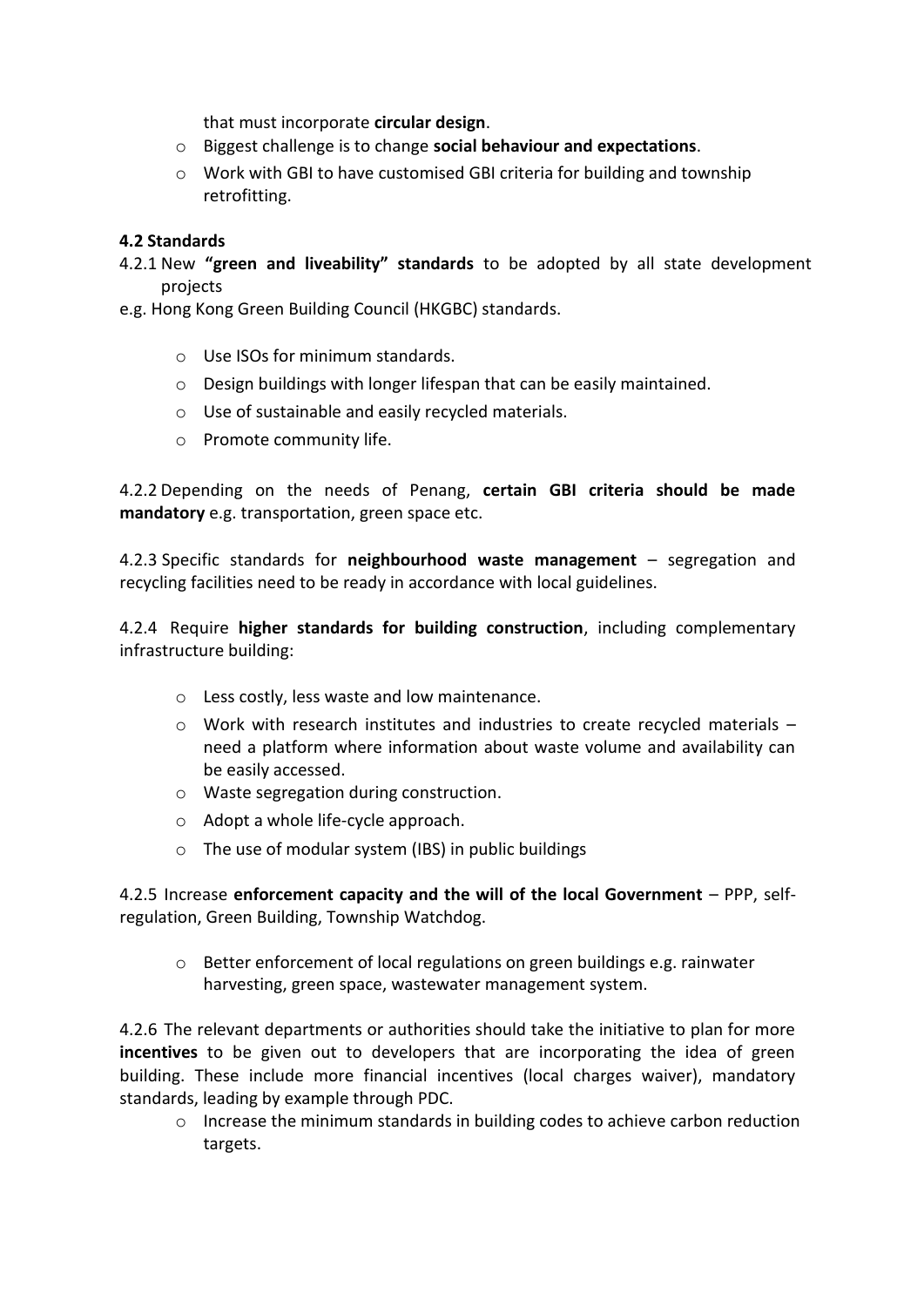that must incorporate **circular design**.

- o Biggest challenge is to change **social behaviour and expectations**.
- $\circ$  Work with GBI to have customised GBI criteria for building and township retrofitting.

#### **4.2 Standards**

- 4.2.1 New **"green and liveability" standards** to be adopted by all state development projects
- e.g. Hong Kong Green Building Council (HKGBC) standards.
	- o Use ISOs for minimum standards.
	- o Design buildings with longer lifespan that can be easily maintained.
	- o Use of sustainable and easily recycled materials.
	- o Promote community life.

4.2.2 Depending on the needs of Penang, **certain GBI criteria should be made mandatory** e.g. transportation, green space etc.

4.2.3 Specific standards for **neighbourhood waste management** – segregation and recycling facilities need to be ready in accordance with local guidelines.

4.2.4 Require **higher standards for building construction**, including complementary infrastructure building:

- o Less costly, less waste and low maintenance.
- $\circ$  Work with research institutes and industries to create recycled materials need a platform where information about waste volume and availability can be easily accessed.
- o Waste segregation during construction.
- o Adopt a whole life-cycle approach.
- o The use of modular system (IBS) in public buildings

4.2.5 Increase **enforcement capacity and the will of the local Government** – PPP, selfregulation, Green Building, Township Watchdog.

 $\circ$  Better enforcement of local regulations on green buildings e.g. rainwater harvesting, green space, wastewater management system.

4.2.6 The relevant departments or authorities should take the initiative to plan for more **incentives** to be given out to developers that are incorporating the idea of green building. These include more financial incentives (local charges waiver), mandatory standards, leading by example through PDC.

 $\circ$  Increase the minimum standards in building codes to achieve carbon reduction targets.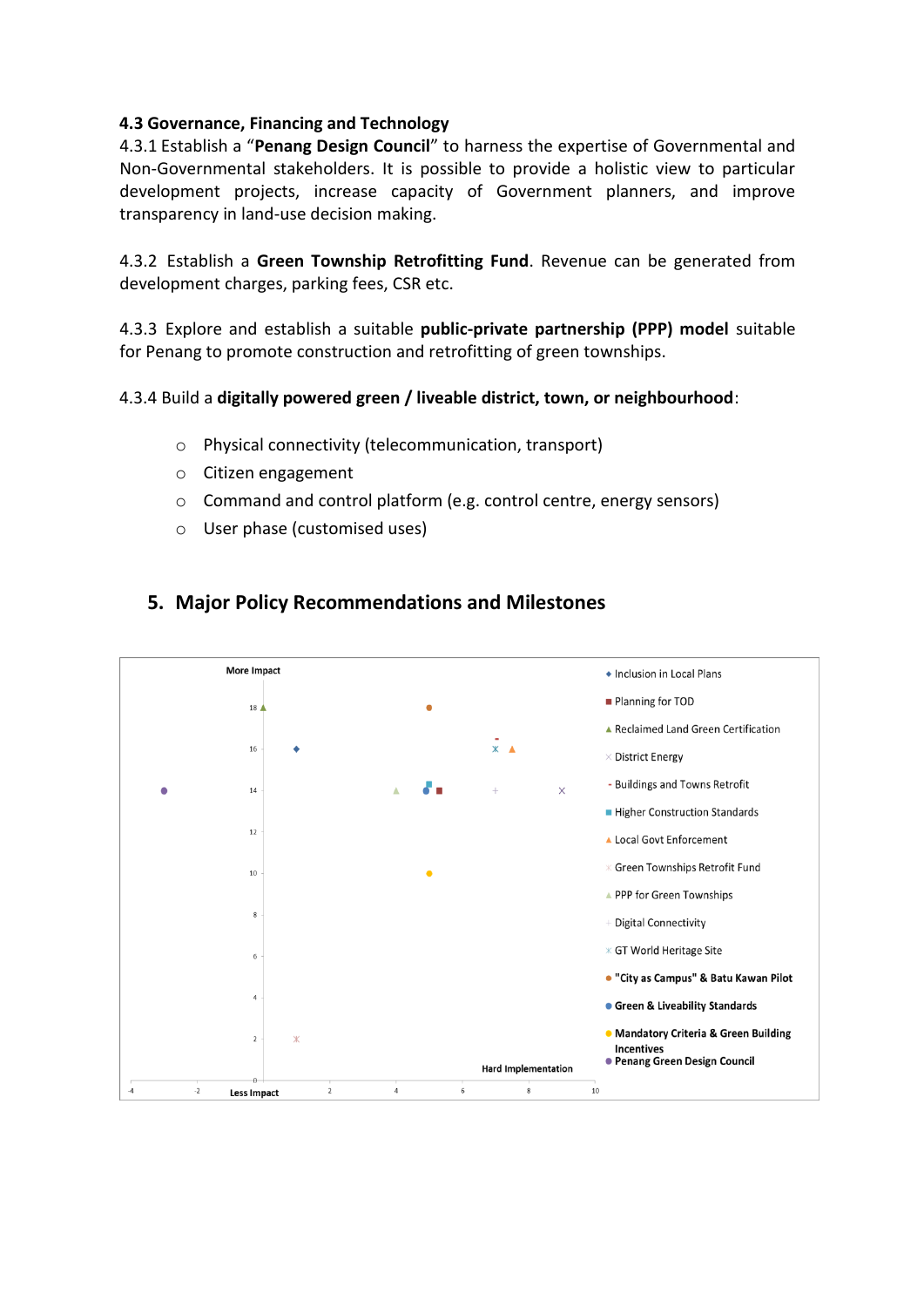#### **4.3 Governance, Financing and Technology**

4.3.1 Establish a "**Penang Design Council**" to harness the expertise of Governmental and Non-Governmental stakeholders. It is possible to provide a holistic view to particular development projects, increase capacity of Government planners, and improve transparency in land-use decision making.

4.3.2 Establish a **Green Township Retrofitting Fund**. Revenue can be generated from development charges, parking fees, CSR etc.

4.3.3 Explore and establish a suitable **public-private partnership (PPP) model** suitable for Penang to promote construction and retrofitting of green townships.

#### 4.3.4 Build a **digitally powered green / liveable district, town, or neighbourhood**:

- o Physical connectivity (telecommunication, transport)
- o Citizen engagement
- o Command and control platform (e.g. control centre, energy sensors)
- o User phase (customised uses)



# **5. Major Policy Recommendations and Milestones**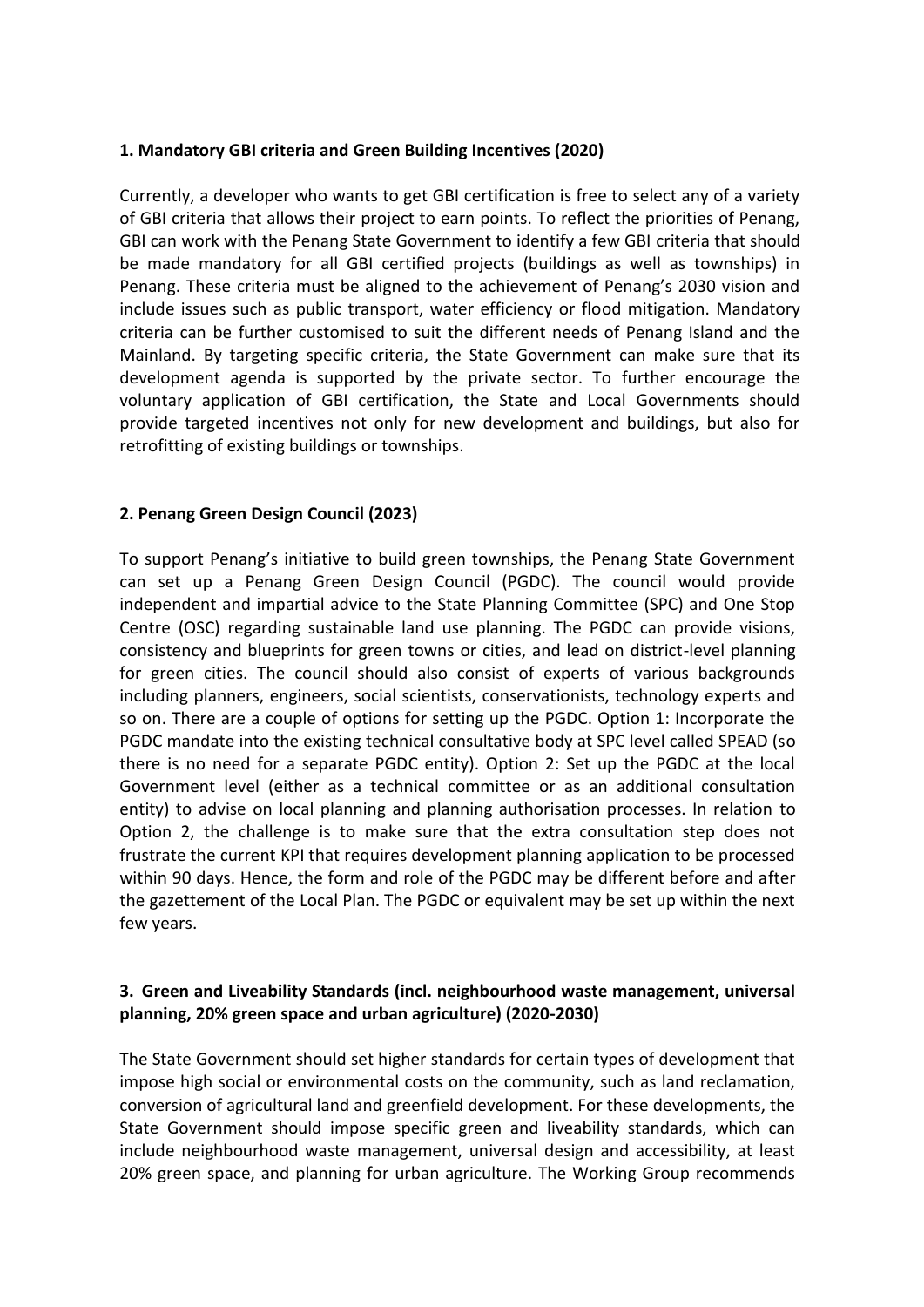#### **1. Mandatory GBI criteria and Green Building Incentives (2020)**

Currently, a developer who wants to get GBI certification is free to select any of a variety of GBI criteria that allows their project to earn points. To reflect the priorities of Penang, GBI can work with the Penang State Government to identify a few GBI criteria that should be made mandatory for all GBI certified projects (buildings as well as townships) in Penang. These criteria must be aligned to the achievement of Penang's 2030 vision and include issues such as public transport, water efficiency or flood mitigation. Mandatory criteria can be further customised to suit the different needs of Penang Island and the Mainland. By targeting specific criteria, the State Government can make sure that its development agenda is supported by the private sector. To further encourage the voluntary application of GBI certification, the State and Local Governments should provide targeted incentives not only for new development and buildings, but also for retrofitting of existing buildings or townships.

#### **2. Penang Green Design Council (2023)**

To support Penang's initiative to build green townships, the Penang State Government can set up a Penang Green Design Council (PGDC). The council would provide independent and impartial advice to the State Planning Committee (SPC) and One Stop Centre (OSC) regarding sustainable land use planning. The PGDC can provide visions, consistency and blueprints for green towns or cities, and lead on district-level planning for green cities. The council should also consist of experts of various backgrounds including planners, engineers, social scientists, conservationists, technology experts and so on. There are a couple of options for setting up the PGDC. Option 1: Incorporate the PGDC mandate into the existing technical consultative body at SPC level called SPEAD (so there is no need for a separate PGDC entity). Option 2: Set up the PGDC at the local Government level (either as a technical committee or as an additional consultation entity) to advise on local planning and planning authorisation processes. In relation to Option 2, the challenge is to make sure that the extra consultation step does not frustrate the current KPI that requires development planning application to be processed within 90 days. Hence, the form and role of the PGDC may be different before and after the gazettement of the Local Plan. The PGDC or equivalent may be set up within the next few years.

#### **3. Green and Liveability Standards (incl. neighbourhood waste management, universal planning, 20% green space and urban agriculture) (2020-2030)**

The State Government should set higher standards for certain types of development that impose high social or environmental costs on the community, such as land reclamation, conversion of agricultural land and greenfield development. For these developments, the State Government should impose specific green and liveability standards, which can include neighbourhood waste management, universal design and accessibility, at least 20% green space, and planning for urban agriculture. The Working Group recommends